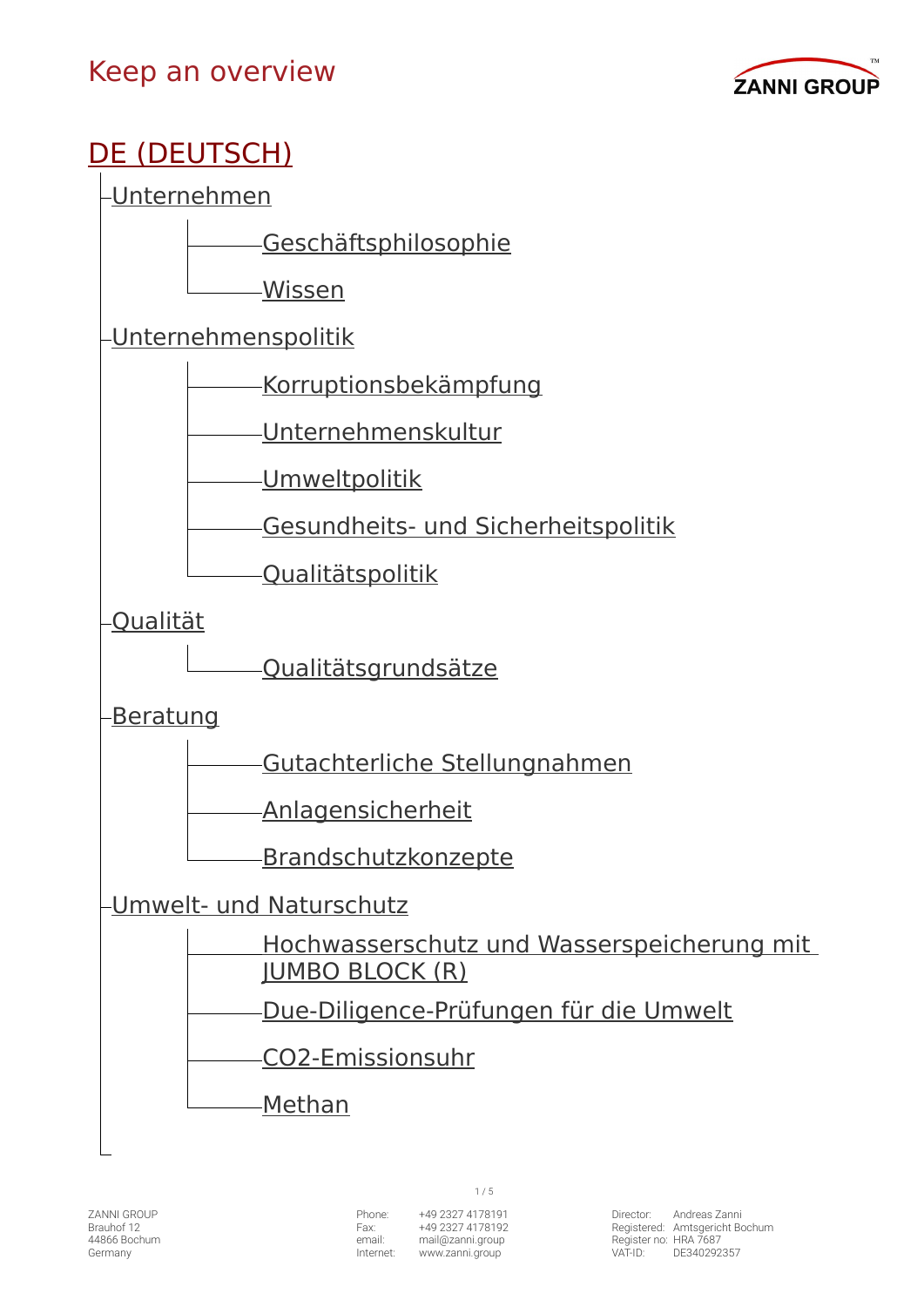

# [DE \(DEUTSCH\)](https://www.zanni.group/Willkommen/)

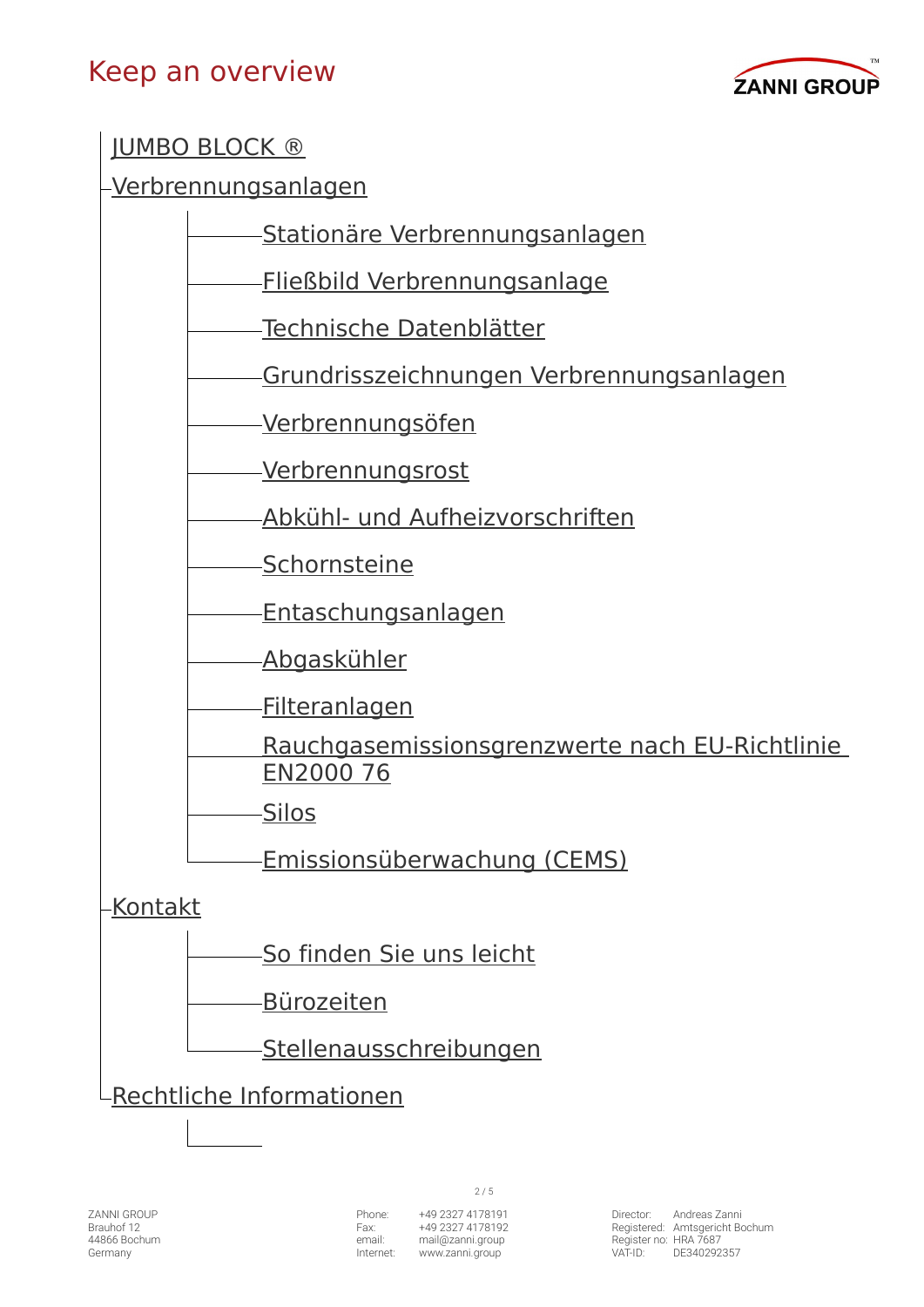#### Keep an overview



[JUMBO BLOCK ®](https://www.zanni.group/DE/JUMBOBLOCK/)

[Verbrennungsanlagen](https://www.zanni.group/DE/Verbrennungsanlagen/)

[Stationäre Verbrennungsanlagen](https://www.zanni.group/DE/Verbrennungsanlagen/Stationaere-Verbrennungsanlagen/)

[Fließbild Verbrennungsanlage](https://www.zanni.group/DE/Verbrennungsanlagen/Fliessbild-Verbrennungsanlage/)

[Technische Datenblätter](https://www.zanni.group/DE/Verbrennungsanlagen/Technische-Datenblaetter/)

[Grundrisszeichnungen Verbrennungsanlagen](https://www.zanni.group/DE/Verbrennungsanlagen/Grundrisszeichnungen-Verbrennungsanlagen/)

[Verbrennungsöfen](https://www.zanni.group/DE/Verbrennungsanlagen/Verbrennungsoefen/)

[Verbrennungsrost](https://www.zanni.group/DE/Verbrennungsanlagen/Verbrennungsrost/)

[Abkühl- und Aufheizvorschriften](https://www.zanni.group/DE/Verbrennungsanlagen/Abkuehl-und-Aufheizvorschriften/)

[Schornsteine](https://www.zanni.group/DE/Verbrennungsanlagen/Schornsteine/)

[Entaschungsanlagen](https://www.zanni.group/DE/Verbrennungsanlagen/Entaschungsanlagen/)

[Abgaskühler](https://www.zanni.group/DE/Verbrennungsanlagen/Abgaskuehler/)

[Filteranlagen](https://www.zanni.group/DE/Verbrennungsanlagen/Filteranlagen/)

[Rauchgasemissionsgrenzwerte nach EU-Richtlinie](https://www.zanni.group/DE/Verbrennungsanlagen/Rauchgasemissionsgrenzwerte-nach-EU-Richtlinie-EN2000-76/)  [EN2000 76](https://www.zanni.group/DE/Verbrennungsanlagen/Rauchgasemissionsgrenzwerte-nach-EU-Richtlinie-EN2000-76/)

[Silos](https://www.zanni.group/DE/Verbrennungsanlagen/Silos/)

[Emissionsüberwachung \(CEMS\)](https://www.zanni.group/DE/Verbrennungsanlagen/Emissionsueberwachung-CEMS/)

[Kontakt](https://www.zanni.group/DE/Kontakt/)

[So finden Sie uns leicht](https://www.zanni.group/DE/Kontakt/So-finden-Sie-uns-leicht/)

[Bürozeiten](https://www.zanni.group/DE/Kontakt/Buerozeiten/)

[Stellenausschreibungen](https://www.zanni.group/DE/Kontakt/Stellenausschreibungen/)

[Rechtliche Informationen](https://www.zanni.group/DE/Rechtliche-Informationen/)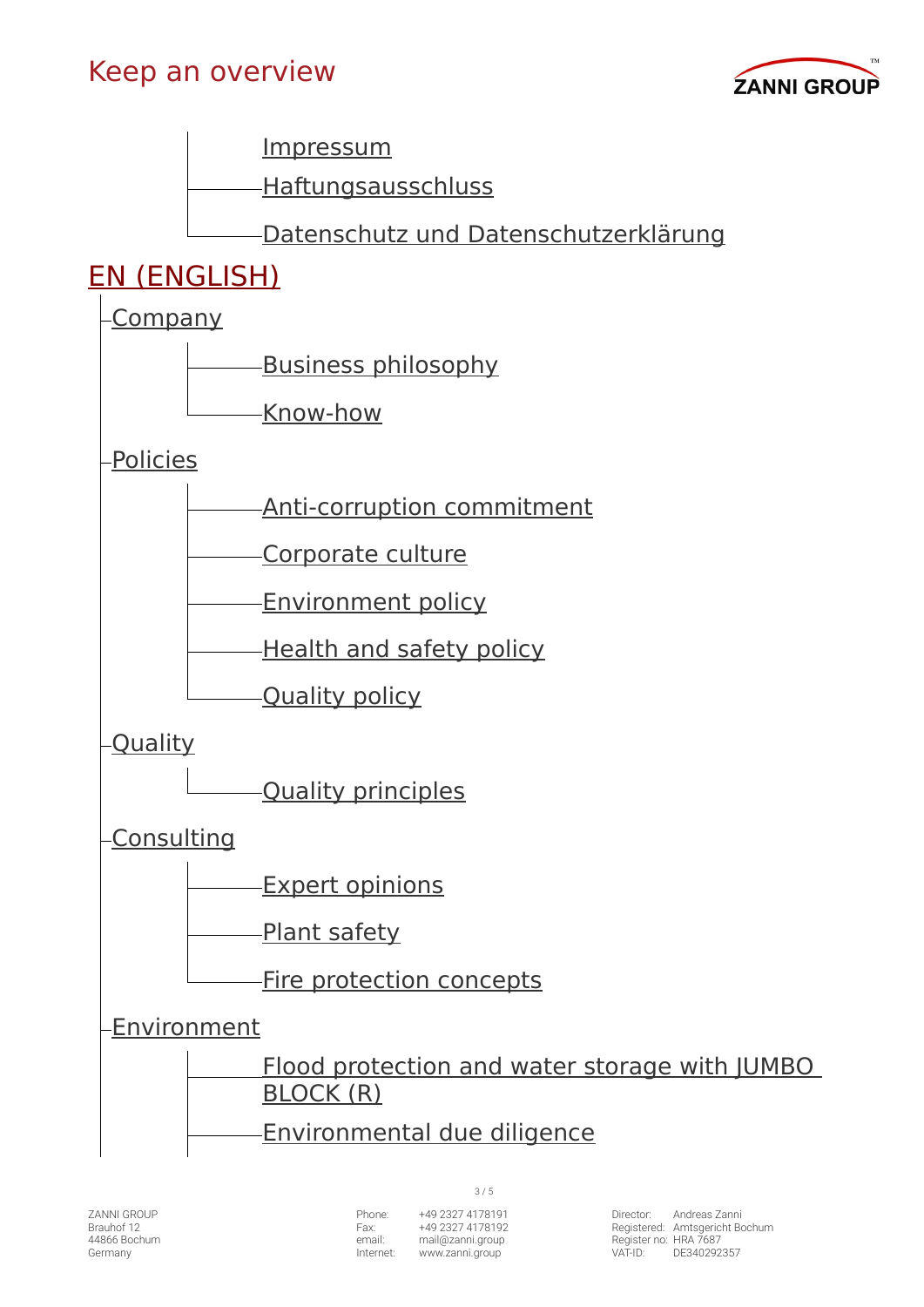





#### EN (ENGLISH)

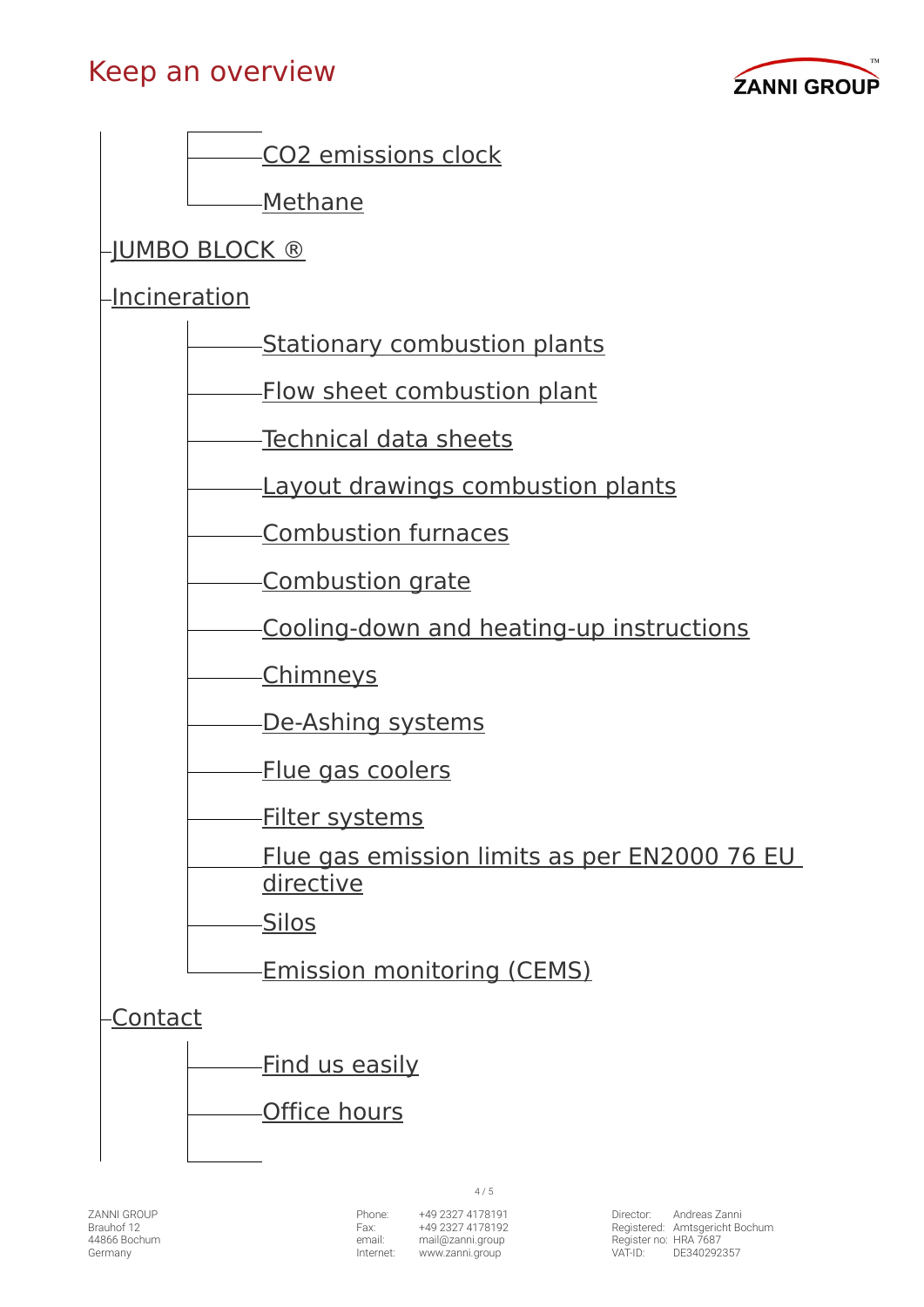#### Keep an overview